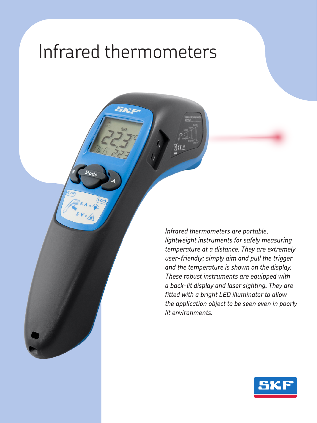## Infrared thermometers

*Infrared thermometers are portable, lightweight instruments for safely measuring temperature at a distance. They are extremely user-friendly; simply aim and pull the trigger and the temperature is shown on the display. These robust instruments are equipped with a back-lit display and laser sighting. They are fitted with a bright LED illuminator to allow the application object to be seen even in poorly lit environments.*

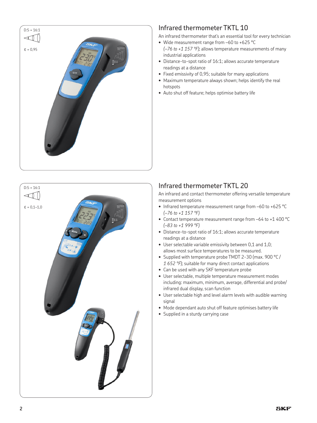



## Infrared thermometer TKTL 10

An infrared thermometer that's an essential tool for every technician

- Wide measurement range from –60 to +625 °C *(–76 to +1 157 °F)*; allows temperature measurements of many industrial applications
- Distance-to-spot ratio of 16:1; allows accurate temperature readings at a distance
- Fixed emissivity of 0,95; suitable for many applications
- Maximum temperature always shown; helps identify the real hotspots
- Auto shut off feature; helps optimise battery life

## Infrared thermometer TKTL 20

An infrared and contact thermometer offering versatile temperature measurement options

- Infrared temperature measurement range from –60 to +625 °C *(–76 to +1 157 °F)*
- Contact temperature measurement range from –64 to +1 400 °C *(–83 to +1 999 °F)*
- Distance-to-spot ratio of 16:1; allows accurate temperature readings at a distance
- User selectable variable emissivity between 0,1 and 1,0; allows most surface temperatures to be measured.
- Supplied with temperature probe TMDT 2-30 (max. 900 °C / *1 652 °F*); suitable for many direct contact applications
- Can be used with any SKF temperature probe
- User selectable, multiple temperature measurement modes including: maximum, minimum, average, differential and probe/ infrared dual display, scan function
- User selectable high and level alarm levels with audible warning signal
- Mode dependant auto shut off feature optimises battery life
- Supplied in a sturdy carrying case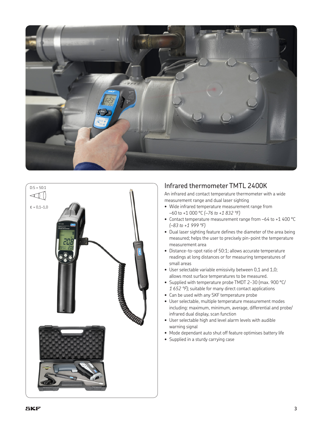



## Infrared thermometer TMTL 2400K

An infrared and contact temperature thermometer with a wide measurement range and dual laser sighting

- Wide infrared temperature measurement range from –60 to +1 000 °C *(–76 to +1 832 °F)*
- Contact temperature measurement range from –64 to +1 400 °C *(–83 to +1 999 °F)*
- Dual laser sighting feature defines the diameter of the area being measured; helps the user to precisely pin-point the temperature measurement area
- Distance-to-spot ratio of 50:1; allows accurate temperature readings at long distances or for measuring temperatures of small areas
- User selectable variable emissivity between 0,1 and 1,0; allows most surface temperatures to be measured.
- Supplied with temperature probe TMDT 2-30 (max. 900 °C/ *1 652 °F*); suitable for many direct contact applications
- Can be used with any SKF temperature probe
- User selectable, multiple temperature measurement modes including: maximum, minimum, average, differential and probe/ infrared dual display, scan function
- User selectable high and level alarm levels with audible warning signal
- Mode dependant auto shut off feature optimises battery life
- Supplied in a sturdy carrying case